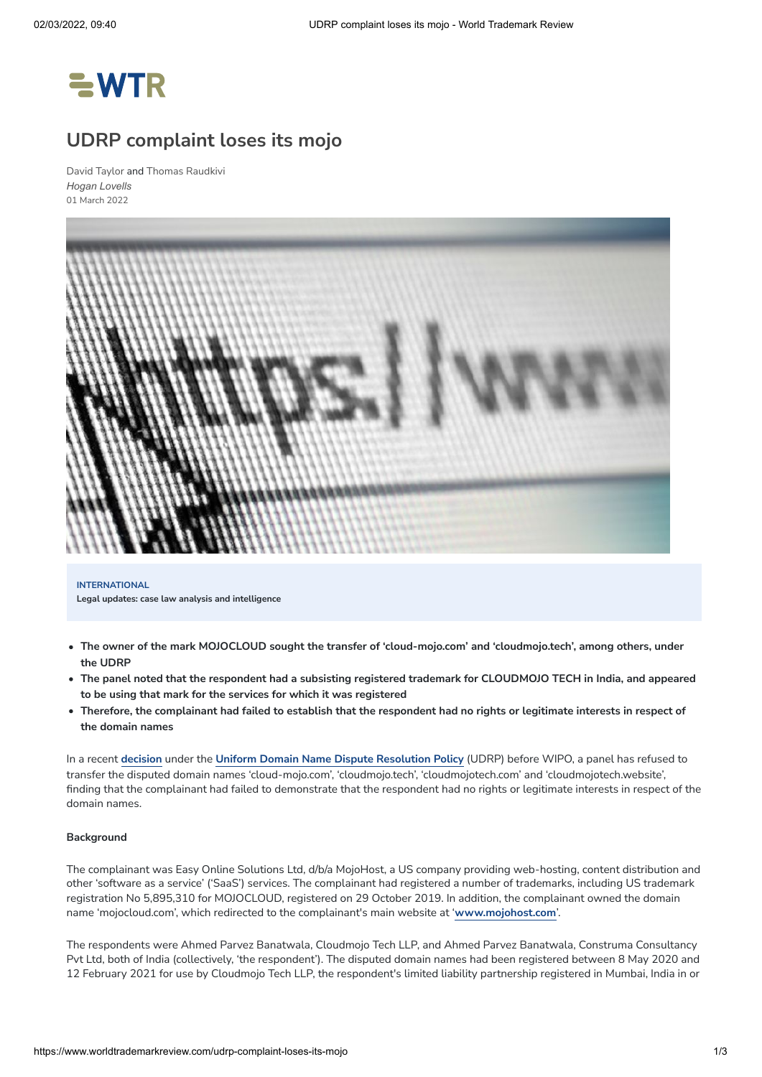

## **UDRP complaint loses its mojo**

David [Taylor](https://www.worldtrademarkreview.com/authors/david-taylor) and Thomas [Raudkivi](https://www.worldtrademarkreview.com/authors/thomas-raudkivi) *[Hogan Lovells](https://www.worldtrademarkreview.com/organisation/hogan-lovells-0)* 01 March 2022



**INTERNATIONAL Legal updates: case law analysis and intelligence**

- The owner of the mark MOJOCLOUD sought the transfer of 'cloud-mojo.com' and 'cloudmojo.tech', among others, under **the UDRP**
- The panel noted that the respondent had a subsisting registered trademark for CLOUDMOJO TECH in India, and appeared **to be using that mark for the services for which it was registered**
- Therefore, the complainant had failed to establish that the respondent had no rights or legitimate interests in respect of **the domain names**

In a recent **[decision](https://www.wipo.int/amc/en/domains/search/text.jsp?case=D2021-3197)** under the **Uniform Domain Name Dispute [Resolution](https://www.icann.org/resources/pages/help/dndr/udrp-en) Policy** (UDRP) before WIPO, a panel has refused to transfer the disputed domain names 'cloud-mojo.com', 'cloudmojo.tech', 'cloudmojotech.com' and 'cloudmojotech.website', finding that the complainant had failed to demonstrate that the respondent had no rights or legitimate interests in respect of the domain names.

#### **Background**

The complainant was Easy Online Solutions Ltd, d/b/a MojoHost, a US company providing web-hosting, content distribution and other 'software as a service' ('SaaS') services. The complainant had registered a number of trademarks, including US trademark registration No 5,895,310 for MOJOCLOUD, registered on 29 October 2019. In addition, the complainant owned the domain name 'mojocloud.com', which redirected to the complainant's main website at '**[www.mojohost.com](http://www.mojohost.com/)**'.

The respondents were Ahmed Parvez Banatwala, Cloudmojo Tech LLP, and Ahmed Parvez Banatwala, Construma Consultancy Pvt Ltd, both of India (collectively, 'the respondent'). The disputed domain names had been registered between 8 May 2020 and 12 February 2021 for use by Cloudmojo Tech LLP, the respondent's limited liability partnership registered in Mumbai, India in or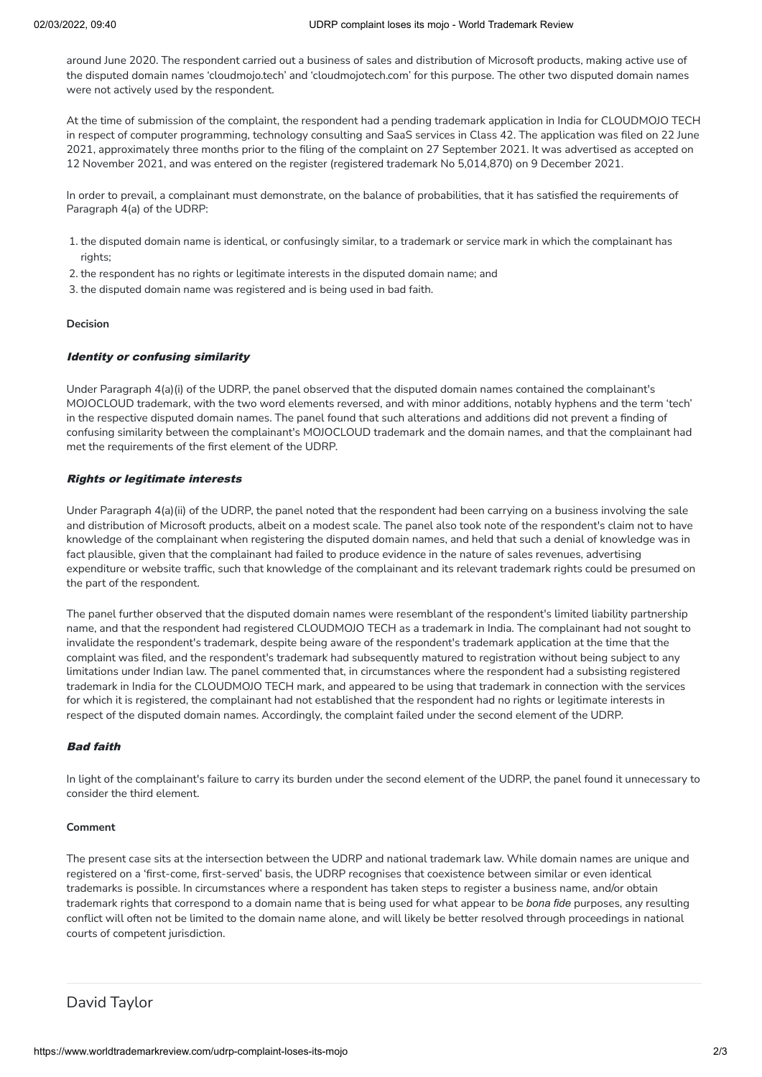around June 2020. The respondent carried out a business of sales and distribution of Microsoft products, making active use of the disputed domain names 'cloudmojo.tech' and 'cloudmojotech.com' for this purpose. The other two disputed domain names were not actively used by the respondent.

At the time of submission of the complaint, the respondent had a pending trademark application in India for CLOUDMOJO TECH in respect of computer programming, technology consulting and SaaS services in Class 42. The application was filed on 22 June 2021, approximately three months prior to the filing of the complaint on 27 September 2021. It was advertised as accepted on 12 November 2021, and was entered on the register (registered trademark No 5,014,870) on 9 December 2021.

In order to prevail, a complainant must demonstrate, on the balance of probabilities, that it has satisfied the requirements of Paragraph 4(a) of the UDRP:

- 1. the disputed domain name is identical, or confusingly similar, to a trademark or service mark in which the complainant has rights;
- 2. the respondent has no rights or legitimate interests in the disputed domain name; and
- 3. the disputed domain name was registered and is being used in bad faith.

#### **Decision**

#### Identity or confusing similarity

Under Paragraph 4(a)(i) of the UDRP, the panel observed that the disputed domain names contained the complainant's MOJOCLOUD trademark, with the two word elements reversed, and with minor additions, notably hyphens and the term 'tech' in the respective disputed domain names. The panel found that such alterations and additions did not prevent a finding of confusing similarity between the complainant's MOJOCLOUD trademark and the domain names, and that the complainant had met the requirements of the first element of the UDRP.

### Rights or legitimate interests

Under Paragraph 4(a)(ii) of the UDRP, the panel noted that the respondent had been carrying on a business involving the sale and distribution of Microsoft products, albeit on a modest scale. The panel also took note of the respondent's claim not to have knowledge of the complainant when registering the disputed domain names, and held that such a denial of knowledge was in fact plausible, given that the complainant had failed to produce evidence in the nature of sales revenues, advertising expenditure or website traffic, such that knowledge of the complainant and its relevant trademark rights could be presumed on the part of the respondent.

The panel further observed that the disputed domain names were resemblant of the respondent's limited liability partnership name, and that the respondent had registered CLOUDMOJO TECH as a trademark in India. The complainant had not sought to invalidate the respondent's trademark, despite being aware of the respondent's trademark application at the time that the complaint was filed, and the respondent's trademark had subsequently matured to registration without being subject to any limitations under Indian law. The panel commented that, in circumstances where the respondent had a subsisting registered trademark in India for the CLOUDMOJO TECH mark, and appeared to be using that trademark in connection with the services for which it is registered, the complainant had not established that the respondent had no rights or legitimate interests in respect of the disputed domain names. Accordingly, the complaint failed under the second element of the UDRP.

### Bad faith

In light of the complainant's failure to carry its burden under the second element of the UDRP, the panel found it unnecessary to consider the third element.

#### **Comment**

The present case sits at the intersection between the UDRP and national trademark law. While domain names are unique and registered on a 'first-come, first-served' basis, the UDRP recognises that coexistence between similar or even identical trademarks is possible. In circumstances where a respondent has taken steps to register a business name, and/or obtain trademark rights that correspond to a domain name that is being used for what appear to be *bona fide* purposes, any resulting conflict will often not be limited to the domain name alone, and will likely be better resolved through proceedings in national courts of competent jurisdiction.